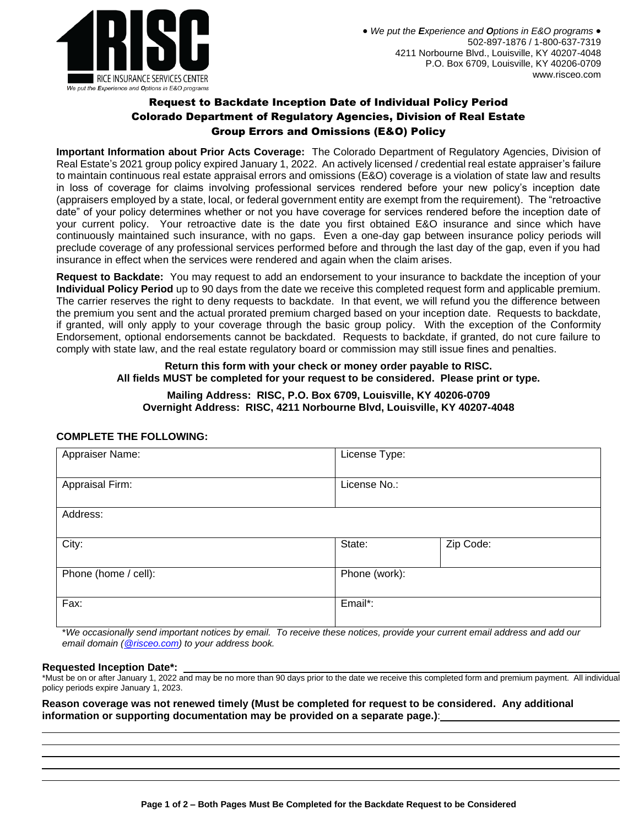

# Request to Backdate Inception Date of Individual Policy Period Colorado Department of Regulatory Agencies, Division of Real Estate Group Errors and Omissions (E&O) Policy

**Important Information about Prior Acts Coverage:** The Colorado Department of Regulatory Agencies, Division of Real Estate's 2021 group policy expired January 1, 2022. An actively licensed / credential real estate appraiser's failure to maintain continuous real estate appraisal errors and omissions (E&O) coverage is a violation of state law and results in loss of coverage for claims involving professional services rendered before your new policy's inception date (appraisers employed by a state, local, or federal government entity are exempt from the requirement). The "retroactive date" of your policy determines whether or not you have coverage for services rendered before the inception date of your current policy. Your retroactive date is the date you first obtained E&O insurance and since which have continuously maintained such insurance, with no gaps. Even a one-day gap between insurance policy periods will preclude coverage of any professional services performed before and through the last day of the gap, even if you had insurance in effect when the services were rendered and again when the claim arises.

**Request to Backdate:** You may request to add an endorsement to your insurance to backdate the inception of your **Individual Policy Period** up to 90 days from the date we receive this completed request form and applicable premium. The carrier reserves the right to deny requests to backdate. In that event, we will refund you the difference between the premium you sent and the actual prorated premium charged based on your inception date. Requests to backdate, if granted, will only apply to your coverage through the basic group policy. With the exception of the Conformity Endorsement, optional endorsements cannot be backdated. Requests to backdate, if granted, do not cure failure to comply with state law, and the real estate regulatory board or commission may still issue fines and penalties.

#### **Return this form with your check or money order payable to RISC. All fields MUST be completed for your request to be considered. Please print or type.**

## **Mailing Address: RISC, P.O. Box 6709, Louisville, KY 40206-0709 Overnight Address: RISC, 4211 Norbourne Blvd, Louisville, KY 40207-4048**

## **COMPLETE THE FOLLOWING:**

| Appraiser Name:      | License Type: |           |  |
|----------------------|---------------|-----------|--|
| Appraisal Firm:      | License No.:  |           |  |
| Address:             |               |           |  |
| City:                | State:        | Zip Code: |  |
| Phone (home / cell): | Phone (work): |           |  |
| Fax:                 | Email*:       |           |  |

\**We occasionally send important notices by email. To receive these notices, provide your current email address and add our email domain [\(@risceo.com\)](mailto:policyadministrator@risceo.com) to your address book.*

#### **Requested Inception Date\*:**

\*Must be on or after January 1, 2022 and may be no more than 90 days prior to the date we receive this completed form and premium payment. All individual policy periods expire January 1, 2023.

**Reason coverage was not renewed timely (Must be completed for request to be considered. Any additional information or supporting documentation may be provided on a separate page.)**: